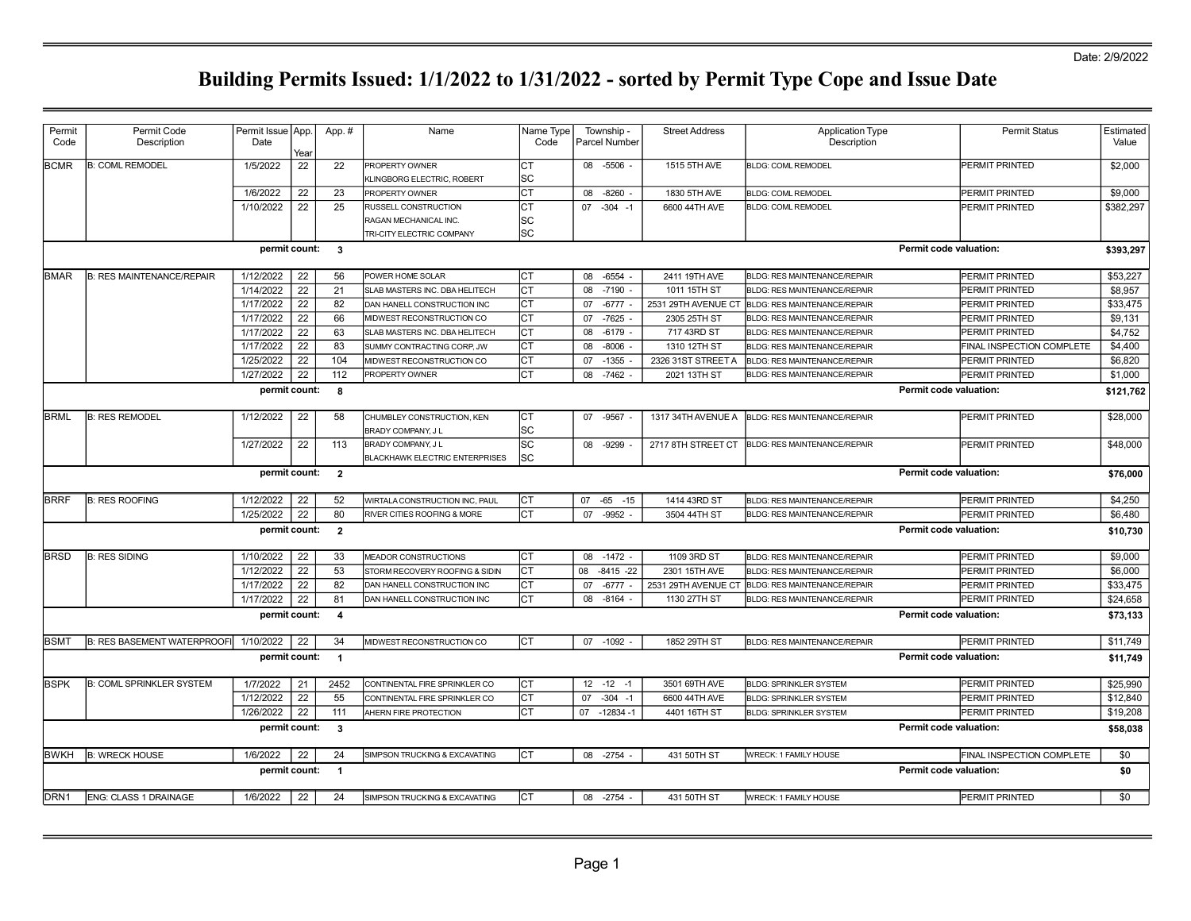| Permit<br>Code      | Permit Code<br>Description         | Permit Issue App.<br>Date | Year            | App.#                   | Name                                                        | Name Type<br>Code |    | Township -<br>Parcel Number | <b>Street Address</b> | <b>Application Type</b><br>Description |                        | <b>Permit Status</b>      | Estimated<br>Value |
|---------------------|------------------------------------|---------------------------|-----------------|-------------------------|-------------------------------------------------------------|-------------------|----|-----------------------------|-----------------------|----------------------------------------|------------------------|---------------------------|--------------------|
| <b>BCMR</b>         | <b>B: COML REMODEL</b>             | 1/5/2022                  | 22              | 22                      | PROPERTY OWNER<br>KLINGBORG ELECTRIC, ROBERT                | СT<br>SC          |    | 08 -5506 -                  | 1515 5TH AVE          | <b>BLDG: COML REMODEL</b>              |                        | PERMIT PRINTED            | \$2,000            |
|                     |                                    | 1/6/2022                  | 22              | 23                      | PROPERTY OWNER                                              | СT                | 08 | -8260                       | 1830 5TH AVE          | <b>BLDG: COML REMODEL</b>              |                        | PERMIT PRINTED            | \$9,000            |
|                     |                                    | 1/10/2022                 | $\overline{22}$ | 25                      | RUSSELL CONSTRUCTION                                        | CT                |    | $07 - 304 - 1$              | 6600 44TH AVE         | <b>BLDG: COML REMODEL</b>              |                        | PERMIT PRINTED            | \$382,297          |
|                     |                                    |                           |                 |                         | RAGAN MECHANICAL INC.                                       | SC                |    |                             |                       |                                        |                        |                           |                    |
|                     |                                    |                           |                 |                         | TRI-CITY ELECTRIC COMPANY                                   | SC                |    |                             |                       |                                        |                        |                           |                    |
|                     |                                    | permit count:             |                 | $\overline{\mathbf{3}}$ |                                                             |                   |    |                             |                       |                                        | Permit code valuation: |                           | \$393,297          |
| BMAR                | <b>B: RES MAINTENANCE/REPAIR</b>   | 1/12/2022                 | 22              | 56                      | POWER HOME SOLAR                                            | Iст               |    | 08 -6554                    | 2411 19TH AVE         | <b>BLDG: RES MAINTENANCE/REPAIR</b>    |                        | PERMIT PRINTED            | \$53,227           |
|                     |                                    | 1/14/2022                 | 22              | 21                      | SLAB MASTERS INC. DBA HELITECH                              | <b>CT</b>         | 08 | $-7190$                     | 1011 15TH ST          | <b>BLDG: RES MAINTENANCE/REPAIR</b>    |                        | PERMIT PRINTED            | \$8,957            |
|                     |                                    | 1/17/2022                 | 22              | 82                      | DAN HANELL CONSTRUCTION INC                                 | СT                |    | 07 -6777 -                  | 2531 29TH AVENUE CT   | BLDG: RES MAINTENANCE/REPAIR           |                        | PERMIT PRINTED            | \$33,475           |
|                     |                                    | 1/17/2022                 | 22              | 66                      | MIDWEST RECONSTRUCTION CO                                   | <b>CT</b>         | 07 | $-7625$                     | 2305 25TH ST          | <b>BLDG: RES MAINTENANCE/REPAIR</b>    |                        | PERMIT PRINTED            | \$9,131            |
|                     |                                    | 1/17/2022                 | 22              | 63                      | SLAB MASTERS INC. DBA HELITECH                              | СT                | 08 | -6179                       | 717 43RD ST           | <b>BLDG: RES MAINTENANCE/REPAIR</b>    |                        | PERMIT PRINTED            | \$4,752            |
|                     |                                    | 1/17/2022                 | 22              | 83                      | SUMMY CONTRACTING CORP, JW                                  | СT                | 08 | $-8006$                     | 1310 12TH ST          | <b>BLDG: RES MAINTENANCE/REPAIR</b>    |                        | FINAL INSPECTION COMPLETE | \$4,400            |
|                     |                                    | 1/25/2022                 | 22              | 104                     | MIDWEST RECONSTRUCTION CO                                   | СT                |    | 07 -1355                    | 2326 31ST STREET A    | <b>BLDG: RES MAINTENANCE/REPAIR</b>    |                        | PERMIT PRINTED            | \$6,820            |
|                     |                                    | 1/27/2022                 | 22              | 112                     | PROPERTY OWNER                                              | <b>CT</b>         | 80 | $-7462 -$                   | 2021 13TH ST          | <b>BLDG: RES MAINTENANCE/REPAIR</b>    |                        | PERMIT PRINTED            | \$1,000            |
|                     |                                    | permit count:             |                 | 8                       |                                                             |                   |    |                             |                       |                                        | Permit code valuation: |                           | \$121,762          |
| <b>BRML</b>         | <b>B: RES REMODEL</b>              | 1/12/2022                 | 22              | 58                      | CHUMBLEY CONSTRUCTION, KEN                                  | СT                |    | 07 -9567 -                  | 1317 34TH AVENUE A    | BLDG: RES MAINTENANCE/REPAIR           |                        | PERMIT PRINTED            | \$28,000           |
|                     |                                    |                           |                 |                         | BRADY COMPANY, J L                                          | SC                |    |                             |                       |                                        |                        |                           |                    |
|                     |                                    | 1/27/2022                 | 22              | 113                     | BRADY COMPANY, J L<br><b>BLACKHAWK ELECTRIC ENTERPRISES</b> | SC<br>SC          |    | 08 - 9299                   | 2717 8TH STREET CT    | <b>BLDG: RES MAINTENANCE/REPAIR</b>    |                        | PERMIT PRINTED            | \$48,000           |
|                     |                                    | permit count:             |                 | $\overline{2}$          |                                                             |                   |    |                             |                       |                                        | Permit code valuation: |                           | \$76,000           |
| <b>BRRF</b>         | <b>B: RES ROOFING</b>              | 1/12/2022                 | 22              | 52                      | WIRTALA CONSTRUCTION INC, PAUL                              | IСТ               |    | 07 -65 -15                  | 1414 43RD ST          | <b>BLDG: RES MAINTENANCE/REPAIR</b>    |                        | PERMIT PRINTED            | \$4,250            |
|                     |                                    | 1/25/2022                 | 22              | 80                      | RIVER CITIES ROOFING & MORE                                 | CT                | 07 | $-9952 -$                   | 3504 44TH ST          | <b>BLDG: RES MAINTENANCE/REPAIR</b>    |                        | PERMIT PRINTED            | \$6,480            |
|                     |                                    | permit count:             |                 | $\overline{2}$          |                                                             |                   |    |                             |                       |                                        | Permit code valuation: |                           | \$10,730           |
| <b>BRSD</b>         | <b>B: RES SIDING</b>               | 1/10/2022                 | 22              | 33                      | MEADOR CONSTRUCTIONS                                        | Iст               | 08 | $-1472 -$                   | 1109 3RD ST           | <b>BLDG: RES MAINTENANCE/REPAIR</b>    |                        | PERMIT PRINTED            | \$9,000            |
|                     |                                    | 1/12/2022                 | 22              | 53                      | STORM RECOVERY ROOFING & SIDIN                              | СT                | 08 | $-8415 -22$                 | 2301 15TH AVE         | <b>BLDG: RES MAINTENANCE/REPAIR</b>    |                        | PERMIT PRINTED            | \$6,000            |
|                     |                                    | 1/17/2022                 | 22              | 82                      | DAN HANELL CONSTRUCTION INC                                 | СT                | 07 | $-6777 -$                   | 2531 29TH AVENUE CT   | BLDG: RES MAINTENANCE/REPAIR           |                        | PERMIT PRINTED            | \$33,475           |
|                     |                                    | 1/17/2022                 | 22              | 81                      | DAN HANELL CONSTRUCTION INC                                 | CT                | 08 | $-8164$                     | 1130 27TH ST          | <b>BLDG: RES MAINTENANCE/REPAIR</b>    |                        | PERMIT PRINTED            | \$24,658           |
|                     |                                    | permit count:             |                 | $\overline{4}$          |                                                             |                   |    |                             |                       |                                        | Permit code valuation: |                           | \$73,133           |
| <b>BSMT</b>         | <b>B: RES BASEMENT WATERPROOFI</b> | 1/10/2022                 | 22              | 34                      | MIDWEST RECONSTRUCTION CO                                   | IСТ               |    | 07 -1092 -                  | 1852 29TH ST          | <b>BLDG: RES MAINTENANCE/REPAIR</b>    |                        | PERMIT PRINTED            | \$11,749           |
|                     |                                    |                           |                 |                         |                                                             |                   |    |                             |                       |                                        | Permit code valuation: |                           | \$11,749           |
|                     |                                    | permit count:             |                 | $\overline{1}$          |                                                             |                   |    |                             |                       |                                        |                        |                           |                    |
|                     | <b>B: COML SPRINKLER SYSTEM</b>    | 1/7/2022                  | 21              | 2452                    | CONTINENTAL FIRE SPRINKLER CO                               | lст               |    | $12 - 12 - 1$               | 3501 69TH AVE         | <b>BLDG: SPRINKLER SYSTEM</b>          |                        | PERMIT PRINTED            | \$25,990           |
|                     |                                    | 1/12/2022                 | 22              | 55                      | CONTINENTAL FIRE SPRINKLER CO                               | СT                | 07 | $-304 - 1$                  | 6600 44TH AVE         | <b>BLDG: SPRINKLER SYSTEM</b>          |                        | PERMIT PRINTED            | \$12,840           |
|                     |                                    | 1/26/2022                 | 22              | 111                     | AHERN FIRE PROTECTION                                       | CT                |    | 07 -12834 -1                | 4401 16TH ST          | <b>BLDG: SPRINKLER SYSTEM</b>          |                        | PERMIT PRINTED            | \$19,208           |
|                     |                                    | permit count:             |                 | $\overline{\mathbf{3}}$ |                                                             |                   |    |                             |                       |                                        | Permit code valuation: |                           | \$58,038           |
| <b>BSPK</b><br>BWKH | <b>B: WRECK HOUSE</b>              | 1/6/2022                  | 22              | 24                      | SIMPSON TRUCKING & EXCAVATING                               | Iст               |    | 08 -2754                    | 431 50TH ST           | WRECK: 1 FAMILY HOUSE                  |                        | FINAL INSPECTION COMPLETE | \$0                |
|                     |                                    | permit count:             |                 | $\overline{1}$          |                                                             |                   |    |                             |                       |                                        | Permit code valuation: |                           | \$0                |
| DRN <sub>1</sub>    | <b>ENG: CLASS 1 DRAINAGE</b>       | 1/6/2022                  | 22              | 24                      | SIMPSON TRUCKING & EXCAVATING                               | Iст               |    | 08 -2754 -                  | 431 50TH ST           | WRECK: 1 FAMILY HOUSE                  |                        | PERMIT PRINTED            | \$0                |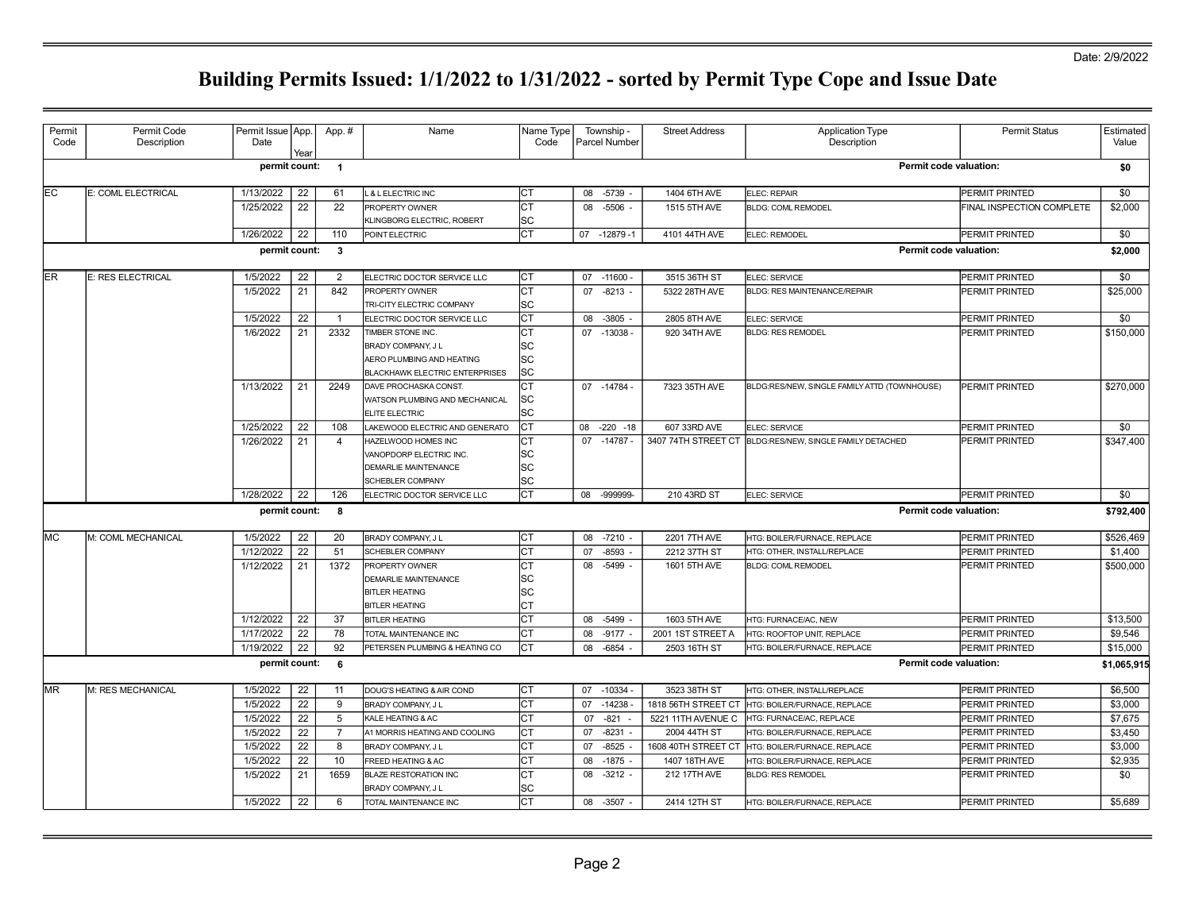## Date: 2/9/2022

|      |                    | Date          |      |                |                                             | Name Type<br>Code |           | Township -<br>Parcel Number | <b>Street Address</b> | <b>Application Type</b><br>Description                   | <b>Permit Status</b>      | Estimated<br>Value |
|------|--------------------|---------------|------|----------------|---------------------------------------------|-------------------|-----------|-----------------------------|-----------------------|----------------------------------------------------------|---------------------------|--------------------|
|      |                    | permit count: | Year | $\overline{1}$ |                                             |                   |           |                             |                       | Permit code valuation:                                   |                           | \$0                |
| lEC. | E: COML ELECTRICAL | 1/13/2022     | 22   | 61             | L & L ELECTRIC INC                          | ICT               |           | 08 -5739 -                  | 1404 6TH AVE          | ELEC: REPAIR                                             | <b>PERMIT PRINTED</b>     | \$0                |
|      |                    | 1/25/2022     | 22   | 22             | PROPERTY OWNER                              | Iст               |           | 08 -5506                    | 1515 5TH AVE          | <b>BLDG: COML REMODEL</b>                                | FINAL INSPECTION COMPLETE | \$2,000            |
|      |                    |               |      |                | KLINGBORG ELECTRIC, ROBERT                  | SC                |           |                             |                       |                                                          |                           |                    |
|      |                    | 1/26/2022     | 22   | 110            | POINT ELECTRIC                              | Iст               |           | 07 -12879 -1                | 4101 44TH AVE         | ELEC: REMODEL                                            | PERMIT PRINTED            | \$0                |
|      |                    | permit count: |      | $\mathbf{3}$   |                                             |                   |           |                             |                       | Permit code valuation:                                   |                           | \$2,000            |
| ler  | E: RES ELECTRICAL  | 1/5/2022      | 22   | 2              | ELECTRIC DOCTOR SERVICE LLC                 | Iст               |           | 07 -11600 -                 | 3515 36TH ST          | ELEC: SERVICE                                            | PERMIT PRINTED            | \$0                |
|      |                    | 1/5/2022      | 21   | 842            | PROPERTY OWNER                              | Іст               | 07        | $-8213$ -                   | 5322 28TH AVE         | <b>BLDG: RES MAINTENANCE/REPAIR</b>                      | PERMIT PRINTED            | \$25,000           |
|      |                    |               |      |                | TRI-CITY ELECTRIC COMPANY                   | lsc               |           |                             |                       |                                                          |                           |                    |
|      |                    | 1/5/2022      | 22   | $\overline{1}$ | ELECTRIC DOCTOR SERVICE LLC                 | Іст               |           | 08 -3805                    | 2805 8TH AVE          | ELEC: SERVICE                                            | PERMIT PRINTED            | \$0                |
|      |                    | 1/6/2022      | 21   | 2332           | TIMBER STONE INC.                           | Iст               |           | 07 -13038                   | 920 34TH AVE          | <b>BLDG: RES REMODEL</b>                                 | PERMIT PRINTED            | \$150,000          |
|      |                    |               |      |                | BRADY COMPANY, J L                          | SC                |           |                             |                       |                                                          |                           |                    |
|      |                    |               |      |                | AERO PLUMBING AND HEATING                   | lsc               |           |                             |                       |                                                          |                           |                    |
|      |                    |               |      |                | <b>BLACKHAWK ELECTRIC ENTERPRISES</b>       | <b>SC</b>         |           |                             |                       |                                                          |                           |                    |
|      |                    | 1/13/2022     | 21   | 2249           | <b>DAVE PROCHASKA CONST.</b>                | Іст               |           | 07 -14784 -                 | 7323 35TH AVE         | BLDG:RES/NEW, SINGLE FAMILY ATTD (TOWNHOUSE)             | PERMIT PRINTED            | \$270,000          |
|      |                    |               |      |                | WATSON PLUMBING AND MECHANICAL              | lsc               |           |                             |                       |                                                          |                           |                    |
|      |                    |               |      |                | ELITE ELECTRIC                              | lsc               |           |                             |                       |                                                          |                           |                    |
|      |                    | 1/25/2022     | 22   | 108            | LAKEWOOD ELECTRIC AND GENERATO              | Iст               |           | 08 -220 -18                 | 607 33RD AVE          | ELEC: SERVICE                                            | PERMIT PRINTED            | \$0                |
|      |                    | 1/26/2022     | 21   | $\overline{4}$ | HAZELWOOD HOMES INC                         | IСТ               |           | 07 -14787 -                 |                       | 3407 74TH STREET CT BLDG:RES/NEW, SINGLE FAMILY DETACHED | PERMIT PRINTED            | \$347,400          |
|      |                    |               |      |                | VANOPDORP ELECTRIC INC.                     | SC                |           |                             |                       |                                                          |                           |                    |
|      |                    |               |      |                | <b>DEMARLIE MAINTENANCE</b>                 | lsc               |           |                             |                       |                                                          |                           |                    |
|      |                    |               |      |                | <b>SCHEBLER COMPANY</b>                     | lsc               |           |                             |                       |                                                          |                           |                    |
|      |                    | 1/28/2022     | 22   | 126            | ELECTRIC DOCTOR SERVICE LLC                 | Iст               |           | 08 -999999-                 | 210 43RD ST           | ELEC: SERVICE                                            | PERMIT PRINTED            | \$0                |
|      |                    | permit count: |      | 8              |                                             |                   |           |                             |                       | Permit code valuation:                                   |                           | \$792,400          |
| lMC. | M: COML MECHANICAL | 1/5/2022      | 22   | 20             | BRADY COMPANY, J L                          | Iст               |           | 08 -7210 -                  | 2201 7TH AVE          | HTG: BOILER/FURNACE, REPLACE                             | PERMIT PRINTED            | \$526,469          |
|      |                    | 1/12/2022     | 22   | 51             | SCHEBLER COMPANY                            | Іст               | 07        | $-8593$                     | 2212 37TH ST          | HTG: OTHER, INSTALL/REPLACE                              | PERMIT PRINTED            | \$1,400            |
|      |                    | 1/12/2022     | 21   | 1372           | PROPERTY OWNER                              | Iст               |           | 08 -5499                    | 1601 5TH AVE          | <b>BLDG: COML REMODEL</b>                                | PERMIT PRINTED            | \$500,000          |
|      |                    |               |      |                | <b>DEMARLIE MAINTENANCE</b>                 | SC                |           |                             |                       |                                                          |                           |                    |
|      |                    |               |      |                | <b>BITLER HEATING</b>                       | lsc               |           |                             |                       |                                                          |                           |                    |
|      |                    |               |      |                | <b>BITLER HEATING</b>                       | Iст               |           |                             |                       |                                                          |                           |                    |
|      |                    | 1/12/2022     | 22   | 37             | <b>BITLER HEATING</b>                       | Iст               |           | 08 -5499                    | 1603 5TH AVE          | HTG: FURNACE/AC, NEW                                     | PERMIT PRINTED            | \$13,500           |
|      |                    | 1/17/2022     | 22   | 78             | TOTAL MAINTENANCE INC                       | Іст               |           | 08 -9177                    | 2001 1ST STREET A     | HTG: ROOFTOP UNIT, REPLACE                               | PERMIT PRINTED            | \$9,546            |
|      |                    | 1/19/2022     | 22   | 92             | PETERSEN PLUMBING & HEATING CO              | Іст               |           | 08 -6854                    | 2503 16TH ST          | HTG: BOILER/FURNACE, REPLACE                             | PERMIT PRINTED            | \$15,000           |
|      |                    | permit count: |      | 6              |                                             |                   |           |                             |                       | Permit code valuation:                                   |                           | \$1,065,91         |
| MR.  | M: RES MECHANICAL  | 1/5/2022      | 22   | 11             | DOUG'S HEATING & AIR COND                   | Iст               |           | 07 -10334 -                 | 3523 38TH ST          | HTG: OTHER, INSTALL/REPLACE                              | PERMIT PRINTED            | \$6,500            |
|      |                    | 1/5/2022      | 22   | 9              | BRADY COMPANY, J L                          | Iст               | 07 -14238 |                             | 1818 56TH STREET CT   | HTG: BOILER/FURNACE, REPLACE                             | PERMIT PRINTED            | \$3,000            |
|      |                    | 1/5/2022      | 22   | 5              | KALE HEATING & AC                           | Іст               | 07        | $-821 -$                    | 5221 11TH AVENUE C    | HTG: FURNACE/AC, REPLACE                                 | PERMIT PRINTED            | \$7,675            |
|      |                    | 1/5/2022      | 22   | $\overline{7}$ | A1 MORRIS HEATING AND COOLING               | Iст               | 07        | $-8231$                     | 2004 44TH ST          | HTG: BOILER/FURNACE, REPLACE                             | PERMIT PRINTED            | \$3,450            |
|      |                    | 1/5/2022      | 22   | 8              | BRADY COMPANY, J L                          | Iст               | 07        | $-8525$                     | 1608 40TH STREET CT   | HTG: BOILER/FURNACE, REPLACE                             | PERMIT PRINTED            | \$3,000            |
|      |                    | 1/5/2022      | 22   | 10             | FREED HEATING & AC                          | Iст               | 08        | $-1875$                     | 1407 18TH AVE         | HTG: BOILER/FURNACE, REPLACE                             | PERMIT PRINTED            | \$2,935            |
|      |                    | 1/5/2022      | 21   | 1659           | BLAZE RESTORATION INC<br>BRADY COMPANY, J L | Iст<br> SC        | 08        | $-3212$ -                   | 212 17TH AVE          | <b>BLDG: RES REMODEL</b>                                 | PERMIT PRINTED            | \$0                |
|      |                    | 1/5/2022      | 22   | 6              | TOTAL MAINTENANCE INC                       | Іст               |           | 08 -3507 -                  | 2414 12TH ST          | HTG: BOILER/FURNACE, REPLACE                             | <b>PERMIT PRINTED</b>     | \$5,689            |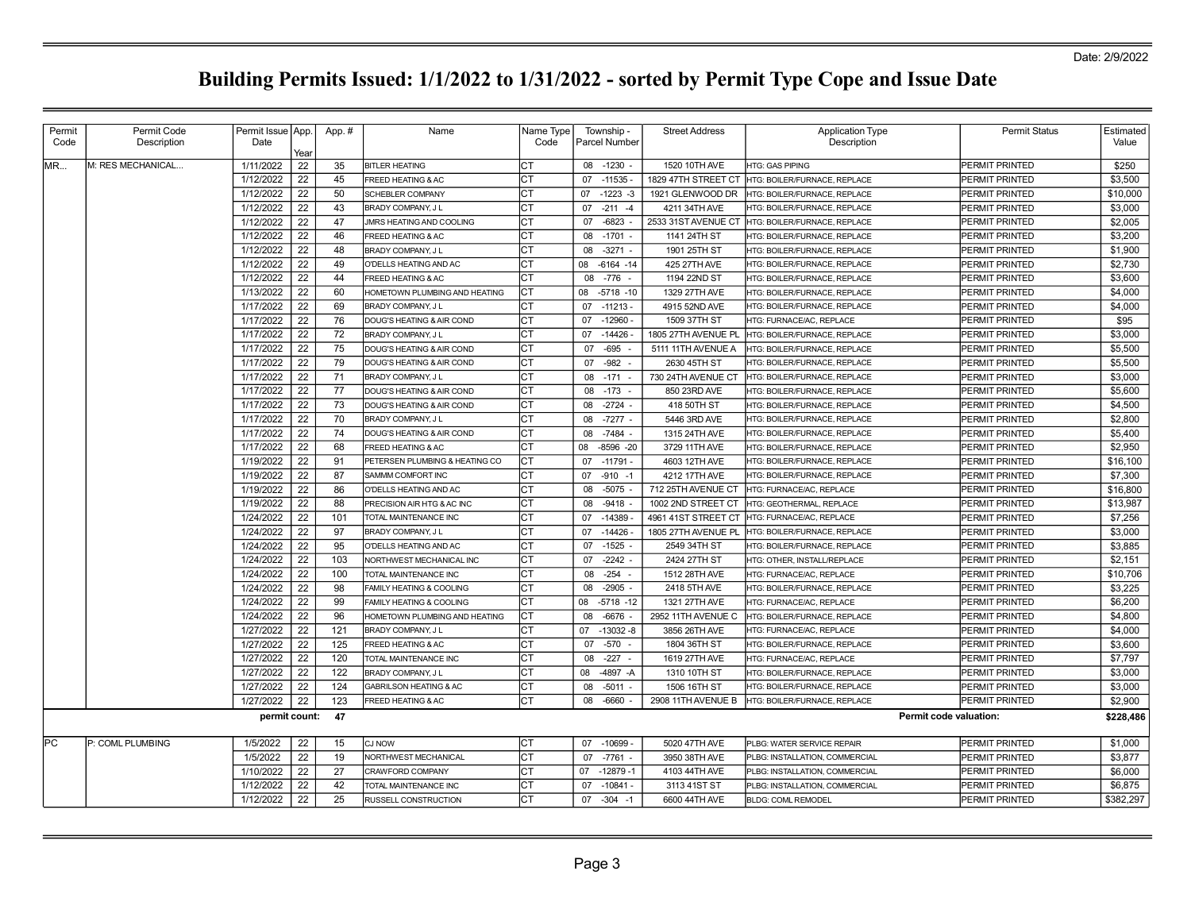| Permit | Permit Code       | Permit Issue   App. |      | App.# | Name                              | Name Type | Township -           | <b>Street Address</b> | <b>Application Type</b>        | <b>Permit Status</b>   | Estimated |
|--------|-------------------|---------------------|------|-------|-----------------------------------|-----------|----------------------|-----------------------|--------------------------------|------------------------|-----------|
| Code   | Description       | Date                | Year |       |                                   | Code      | <b>Parcel Number</b> |                       | Description                    |                        | Value     |
| IMR    | M: RES MECHANICAL | 1/11/2022           | 22   | 35    | <b>BITLER HEATING</b>             | СT        | 08 -1230 -           | 1520 10TH AVE         | <b>HTG: GAS PIPING</b>         | PERMIT PRINTED         | \$250     |
|        |                   | 1/12/2022           | 22   | 45    | FREED HEATING & AC                | CT        | 07 -11535 -          | 1829 47TH STREET CT   | HTG: BOILER/FURNACE, REPLACE   | PERMIT PRINTED         | \$3,500   |
|        |                   | 1/12/2022           | 22   | 50    | SCHEBLER COMPANY                  | CT        | $-1223 - 3$<br>07    | 1921 GLENWOOD DR      | HTG: BOILER/FURNACE, REPLACE   | PERMIT PRINTED         | \$10,000  |
|        |                   | 1/12/2022           | 22   | 43    | BRADY COMPANY, J L                | CТ        | $-211 - 4$<br>07     | 4211 34TH AVE         | HTG: BOILER/FURNACE, REPLACE   | PERMIT PRINTED         | \$3,000   |
|        |                   | 1/12/2022           | 22   | 47    | JMRS HEATING AND COOLING          | СT        | $-6823 -$<br>07      | 2533 31ST AVENUE CT   | HTG: BOILER/FURNACE, REPLACE   | PERMIT PRINTED         | \$2,005   |
|        |                   | 1/12/2022           | 22   | 46    | FREED HEATING & AC                | CT        | 08<br>$-1701 -$      | 1141 24TH ST          | HTG: BOILER/FURNACE, REPLACE   | PERMIT PRINTED         | \$3,200   |
|        |                   | 1/12/2022           | 22   | 48    | BRADY COMPANY, J L                | СT        | 08<br>$-3271 -$      | 1901 25TH ST          | HTG: BOILER/FURNACE, REPLACE   | PERMIT PRINTED         | \$1,900   |
|        |                   | 1/12/2022           | 22   | 49    | O'DELLS HEATING AND AC            | CТ        | 08<br>$-6164 - 14$   | 425 27TH AVE          | HTG: BOILER/FURNACE, REPLACE   | PERMIT PRINTED         | \$2,730   |
|        |                   | 1/12/2022           | 22   | 44    | FREED HEATING & AC                | СT        | 08<br>$-776$         | 1194 22ND ST          | HTG: BOILER/FURNACE, REPLACE   | PERMIT PRINTED         | \$3,600   |
|        |                   | 1/13/2022           | 22   | 60    | HOMETOWN PLUMBING AND HEATING     | CT        | $-5718 - 10$<br>08   | 1329 27TH AVE         | HTG: BOILER/FURNACE, REPLACE   | PERMIT PRINTED         | \$4,000   |
|        |                   | 1/17/2022           | 22   | 69    | BRADY COMPANY, J L                | CT        | 07<br>$-11213 -$     | 4915 52ND AVE         | HTG: BOILER/FURNACE, REPLACE   | PERMIT PRINTED         | \$4,000   |
|        |                   | 1/17/2022           | 22   | 76    | DOUG'S HEATING & AIR COND         | СT        | $-12960$<br>07       | 1509 37TH ST          | HTG: FURNACE/AC, REPLACE       | PERMIT PRINTED         | \$95      |
|        |                   | 1/17/2022           | 22   | 72    | BRADY COMPANY, J L                | СT        | $-14426$<br>07       | 1805 27TH AVENUE PL   | HTG: BOILER/FURNACE, REPLACE   | PERMIT PRINTED         | \$3,000   |
|        |                   | 1/17/2022           | 22   | 75    | DOUG'S HEATING & AIR COND         | СT        | 07<br>$-695$         | 5111 11TH AVENUE A    | HTG: BOILER/FURNACE, REPLACE   | PERMIT PRINTED         | \$5,500   |
|        |                   | 1/17/2022           | 22   | 79    | DOUG'S HEATING & AIR COND         | CТ        | 07<br>-982           | 2630 45TH ST          | HTG: BOILER/FURNACE, REPLACE   | PERMIT PRINTED         | \$5,500   |
|        |                   | 1/17/2022           | 22   | 71    | BRADY COMPANY, J L                | СT        | 08<br>$-171 -$       | 730 24TH AVENUE CT    | HTG: BOILER/FURNACE, REPLACE   | PERMIT PRINTED         | \$3,000   |
|        |                   | 1/17/2022           | 22   | 77    | DOUG'S HEATING & AIR COND         | СT        | 08<br>-173           | 850 23RD AVE          | HTG: BOILER/FURNACE, REPLACE   | PERMIT PRINTED         | \$5,600   |
|        |                   | 1/17/2022           | 22   | 73    | DOUG'S HEATING & AIR COND         | СT        | 08<br>$-2724 -$      | 418 50TH ST           | HTG: BOILER/FURNACE, REPLACE   | PERMIT PRINTED         | \$4,500   |
|        |                   | 1/17/2022           | 22   | 70    | BRADY COMPANY, J L                | СT        | 08<br>$-7277 -$      | 5446 3RD AVE          | HTG: BOILER/FURNACE, REPLACE   | PERMIT PRINTED         | \$2,800   |
|        |                   | 1/17/2022           | 22   | 74    | DOUG'S HEATING & AIR COND         | СT        | $-7484 -$<br>08      | 1315 24TH AVE         | HTG: BOILER/FURNACE, REPLACE   | PERMIT PRINTED         | \$5,400   |
|        |                   | 1/17/2022           | 22   | 68    | FREED HEATING & AC                | CТ        | 08<br>$-8596 - 20$   | 3729 11TH AVE         | HTG: BOILER/FURNACE, REPLACE   | PERMIT PRINTED         | \$2.950   |
|        |                   | 1/19/2022           | 22   | 91    | PETERSEN PLUMBING & HEATING CO    | СT        | 07<br>$-11791 -$     | 4603 12TH AVE         | HTG: BOILER/FURNACE, REPLACE   | PERMIT PRINTED         | \$16,100  |
|        |                   | 1/19/2022           | 22   | 87    | SAMMM COMFORT INC                 | CT        | $-910 - 1$<br>07     | 4212 17TH AVE         | HTG: BOILER/FURNACE, REPLACE   | PERMIT PRINTED         | \$7,300   |
|        |                   | 1/19/2022           | 22   | 86    | O'DELLS HEATING AND AC            | CT        | $-5075 -$<br>08      | 712 25TH AVENUE CT    | HTG: FURNACE/AC, REPLACE       | PERMIT PRINTED         | \$16,800  |
|        |                   | 1/19/2022           | 22   | 88    | PRECISION AIR HTG & AC INC        | CТ        | $-9418 -$<br>08      | 1002 2ND STREET CT    | HTG: GEOTHERMAL, REPLACE       | PERMIT PRINTED         | \$13,987  |
|        |                   | 1/24/2022           | 22   | 101   | TOTAL MAINTENANCE INC             | СT        | 07<br>$-14389$       | 4961 41ST STREET CT   | HTG: FURNACE/AC, REPLACE       | PERMIT PRINTED         | \$7,256   |
|        |                   | 1/24/2022           | 22   | 97    | BRADY COMPANY, J L                | CТ        | $-14426$<br>07       | 1805 27TH AVENUE PL   | HTG: BOILER/FURNACE, REPLACE   | PERMIT PRINTED         | \$3,000   |
|        |                   | 1/24/2022           | 22   | 95    | O'DELLS HEATING AND AC            | СT        | 07 -1525             | 2549 34TH ST          | HTG: BOILER/FURNACE, REPLACE   | PERMIT PRINTED         | \$3,885   |
|        |                   | 1/24/2022           | 22   | 103   | NORTHWEST MECHANICAL INC          | CТ        | $-2242 -$<br>07      | 2424 27TH ST          | HTG: OTHER, INSTALL/REPLACE    | PERMIT PRINTED         | \$2,151   |
|        |                   | 1/24/2022           | 22   | 100   | TOTAL MAINTENANCE INC             | CT        | 08<br>$-254$         | 1512 28TH AVE         | HTG: FURNACE/AC, REPLACE       | PERMIT PRINTED         | \$10,706  |
|        |                   | 1/24/2022           | 22   | 98    | FAMILY HEATING & COOLING          | СT        | $-2905$<br>08        | 2418 5TH AVE          | HTG: BOILER/FURNACE, REPLACE   | PERMIT PRINTED         | \$3,225   |
|        |                   | 1/24/2022           | 22   | 99    | FAMILY HEATING & COOLING          | СT        | 08<br>$-5718 - 12$   | 1321 27TH AVE         | HTG: FURNACE/AC, REPLACE       | PERMIT PRINTED         | \$6,200   |
|        |                   | 1/24/2022           | 22   | 96    | HOMETOWN PLUMBING AND HEATING     | СT        | $-6676 -$<br>08      | 2952 11TH AVENUE C    | HTG: BOILER/FURNACE, REPLACE   | PERMIT PRINTED         | \$4,800   |
|        |                   | 1/27/2022           | 22   | 121   | BRADY COMPANY, J L                | СT        | 07<br>$-13032 - 8$   | 3856 26TH AVE         | HTG: FURNACE/AC, REPLACE       | PERMIT PRINTED         | \$4,000   |
|        |                   | 1/27/2022           | 22   | 125   | FREED HEATING & AC                | СT        | $-570 -$<br>07       | 1804 36TH ST          | HTG: BOILER/FURNACE, REPLACE   | PERMIT PRINTED         | \$3,600   |
|        |                   | 1/27/2022           | 22   | 120   | TOTAL MAINTENANCE INC             | СT        | $-227 -$<br>08       | 1619 27TH AVE         | HTG: FURNACE/AC, REPLACE       | PERMIT PRINTED         | \$7,797   |
|        |                   | 1/27/2022           | 22   | 122   | BRADY COMPANY, J L                | СT        | $-4897 - A$<br>08    | 1310 10TH ST          | HTG: BOILER/FURNACE, REPLACE   | PERMIT PRINTED         | \$3,000   |
|        |                   | 1/27/2022           | 22   | 124   | <b>GABRILSON HEATING &amp; AC</b> | CT        | 08<br>$-5011 -$      | 1506 16TH ST          | HTG: BOILER/FURNACE, REPLACE   | PERMIT PRINTED         | \$3,000   |
|        |                   | 1/27/2022           | 22   | 123   | FREED HEATING & AC                | СT        | 08<br>-6660          | 2908 11TH AVENUE B    | HTG: BOILER/FURNACE, REPLACE   | PERMIT PRINTED         | \$2,900   |
|        |                   | permit count:       |      | 47    |                                   |           |                      |                       |                                | Permit code valuation: | \$228,486 |
| lPC.   | P: COML PLUMBING  | 1/5/2022            | 22   | 15    | <b>CJ NOW</b>                     | СT        | 07 -10699 -          | 5020 47TH AVE         | PLBG: WATER SERVICE REPAIR     | PERMIT PRINTED         | \$1,000   |
|        |                   | 1/5/2022            | 22   | 19    | NORTHWEST MECHANICAL              | СT        | 07 -7761 -           | 3950 38TH AVE         | PLBG: INSTALLATION, COMMERCIAL | PERMIT PRINTED         | \$3,877   |
|        |                   | 1/10/2022           | 22   | 27    | CRAWFORD COMPANY                  | CТ        | $-12879 - 1$<br>07   | 4103 44TH AVE         | PLBG: INSTALLATION, COMMERCIAL | PERMIT PRINTED         | \$6,000   |
|        |                   | 1/12/2022           | 22   | 42    | TOTAL MAINTENANCE INC             | СT        | 07<br>$-10841 -$     | 3113 41ST ST          | PLBG: INSTALLATION, COMMERCIAL | PERMIT PRINTED         | \$6,875   |
|        |                   | 1/12/2022           | 22   | 25    | RUSSELL CONSTRUCTION              | CT        | $-304 - 1$<br>07     | 6600 44TH AVE         | <b>BLDG: COML REMODEL</b>      | PERMIT PRINTED         | \$382,297 |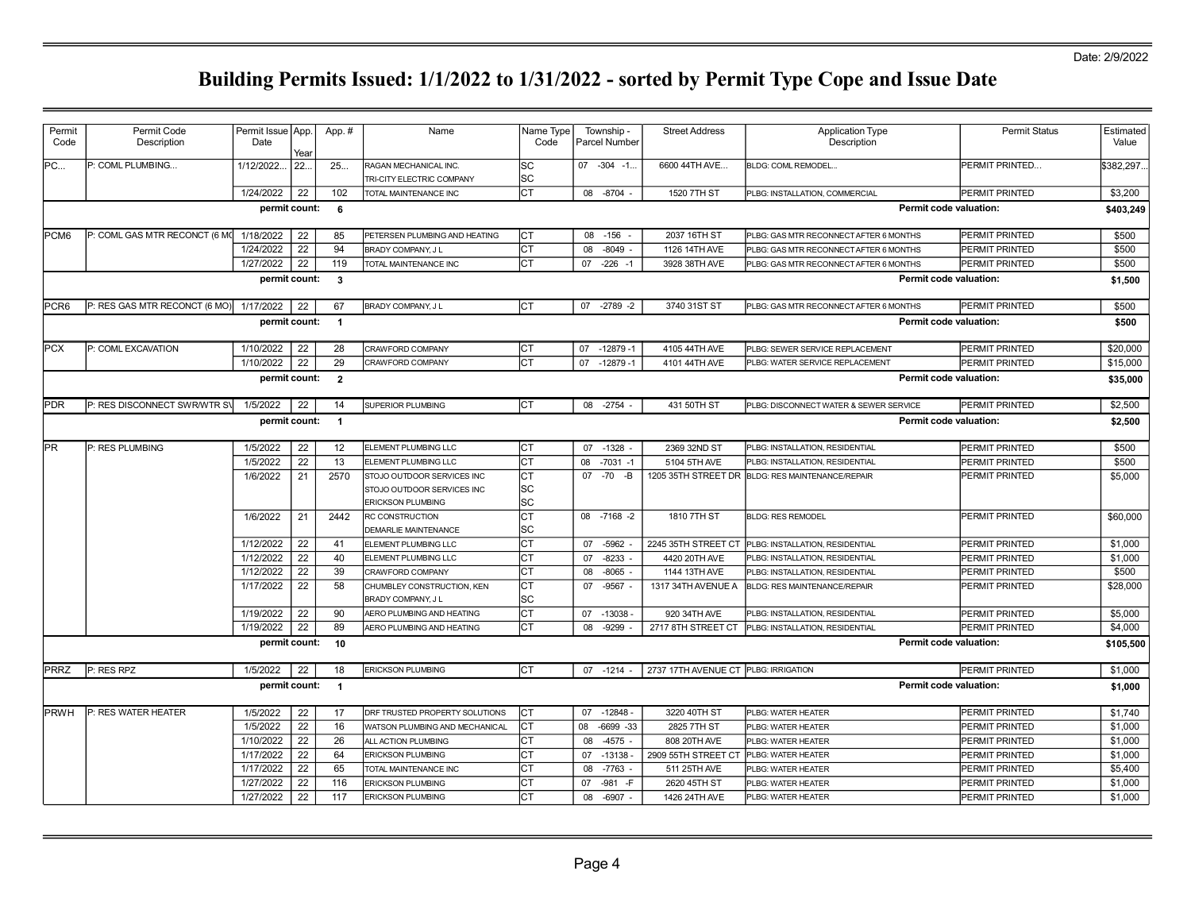| Permit           | Permit Code                   | Permit Issue   App. |      | App.#                   | Name                                                     | Name Type              | Township -           | <b>Street Address</b>                | <b>Application Type</b>                            | <b>Permit Status</b>   | Estimated  |
|------------------|-------------------------------|---------------------|------|-------------------------|----------------------------------------------------------|------------------------|----------------------|--------------------------------------|----------------------------------------------------|------------------------|------------|
| Code             | Description                   | Date                | Year |                         |                                                          | Code                   | Parcel Number        |                                      | Description                                        |                        | Value      |
| PC               | P: COML PLUMBING              | 1/12/2022.          | 22.  | 25                      | RAGAN MECHANICAL INC.<br>TRI-CITY ELECTRIC COMPANY       | <b>SC</b><br><b>SC</b> | $07 -304 -1$ .       | 6600 44TH AVE                        | BLDG: COML REMODEL                                 | PERMIT PRINTED         | \$382,297. |
|                  |                               | 1/24/2022           | 22   | 102                     | <b>TOTAL MAINTENANCE INC</b>                             | $\overline{C}$         | 08 -8704 -           | 1520 7TH ST                          | PLBG: INSTALLATION, COMMERCIAL                     | PERMIT PRINTED         | \$3,200    |
|                  |                               | permit count:       |      | 6                       |                                                          |                        |                      |                                      |                                                    | Permit code valuation: | \$403,249  |
| PCM <sub>6</sub> | P: COML GAS MTR RECONCT (6 M) | 1/18/2022           | 22   | 85                      | PETERSEN PLUMBING AND HEATING                            | lст                    | $-156$<br>08         | 2037 16TH ST                         | PLBG: GAS MTR RECONNECT AFTER 6 MONTHS             | PERMIT PRINTED         | \$500      |
|                  |                               | 1/24/2022           | 22   | 94                      | BRADY COMPANY, J L                                       | Iст                    | 08<br>$-8049$        | 1126 14TH AVE                        | PLBG: GAS MTR RECONNECT AFTER 6 MONTHS             | PERMIT PRINTED         | \$500      |
|                  |                               | 1/27/2022           | 22   | 119                     | TOTAL MAINTENANCE INC                                    | Iст                    | $-226 - 1$<br>07     | 3928 38TH AVE                        | PLBG: GAS MTR RECONNECT AFTER 6 MONTHS             | PERMIT PRINTED         | \$500      |
|                  |                               | permit count:       |      | $\overline{\mathbf{3}}$ |                                                          |                        |                      |                                      |                                                    | Permit code valuation: | \$1,500    |
| PCR <sub>6</sub> | P: RES GAS MTR RECONCT (6 MO) | 1/17/2022           | 22   | 67                      | BRADY COMPANY, J L                                       | Іст                    | 07 -2789 -2          | 3740 31ST ST                         | PLBG: GAS MTR RECONNECT AFTER 6 MONTHS             | PERMIT PRINTED         | \$500      |
|                  |                               | permit count:       |      | $\overline{1}$          |                                                          |                        |                      |                                      |                                                    | Permit code valuation: | \$500      |
| <b>PCX</b>       | P: COML EXCAVATION            | 1/10/2022           | 22   | 28                      | CRAWFORD COMPANY                                         | Iст                    | 07<br>$-12879 - 1$   | 4105 44TH AVE                        | PLBG: SEWER SERVICE REPLACEMENT                    | PERMIT PRINTED         | \$20,000   |
|                  |                               | 1/10/2022           | 22   | 29                      | CRAWFORD COMPANY                                         | lст                    | 07<br>$-12879 - 1$   | 4101 44TH AVE                        | PLBG: WATER SERVICE REPLACEMENT                    | PERMIT PRINTED         | \$15,000   |
|                  |                               | permit count:       |      | $\overline{2}$          |                                                          |                        |                      |                                      |                                                    | Permit code valuation: | \$35,000   |
| <b>PDR</b>       | P: RES DISCONNECT SWRWTR SV   | 1/5/2022            | 22   | 14                      | SUPERIOR PLUMBING                                        | Iст                    | 08 -2754             | 431 50TH ST                          | PLBG: DISCONNECT WATER & SEWER SERVICE             | PERMIT PRINTED         | \$2,500    |
|                  |                               | permit count:       |      | $\overline{1}$          |                                                          |                        |                      |                                      |                                                    | Permit code valuation: | \$2,500    |
| <b>PR</b>        | P: RES PLUMBING               | 1/5/2022            | 22   | 12                      | ELEMENT PLUMBING LLC                                     | Iст                    | $-1328$<br>07        | 2369 32ND ST                         | PLBG: INSTALLATION, RESIDENTIAL                    | PERMIT PRINTED         | \$500      |
|                  |                               | 1/5/2022            | 22   | 13                      | ELEMENT PLUMBING LLC                                     | Iст                    | 08<br>$-7031 - 1$    | 5104 5TH AVE                         | PLBG: INSTALLATION, RESIDENTIAL                    | PERMIT PRINTED         | \$500      |
|                  |                               | 1/6/2022            | 21   | 2570                    | STOJO OUTDOOR SERVICES INC<br>STOJO OUTDOOR SERVICES INC | IСТ<br><b>SC</b>       | $07 - 70 - B$        |                                      | 1205 35TH STREET DR BLDG: RES MAINTENANCE/REPAIR   | PERMIT PRINTED         | \$5,000    |
|                  |                               |                     |      |                         | <b>ERICKSON PLUMBING</b>                                 | lsc                    |                      |                                      |                                                    |                        |            |
|                  |                               | 1/6/2022            | 21   | 2442                    | RC CONSTRUCTION<br><b>DEMARLIE MAINTENANCE</b>           | lст<br><b>SC</b>       | 08 -7168 -2          | 1810 7TH ST                          | <b>BLDG: RES REMODEL</b>                           | PERMIT PRINTED         | \$60,000   |
|                  |                               | 1/12/2022           | 22   | 41                      | ELEMENT PLUMBING LLC                                     | Iст                    | 07 -5962             | 2245 35TH STREET CT                  | PLBG: INSTALLATION, RESIDENTIAL                    | PERMIT PRINTED         | \$1,000    |
|                  |                               | 1/12/2022           | 22   | 40                      | ELEMENT PLUMBING LLC                                     | Iст                    | $-8233$<br>07        | 4420 20TH AVE                        | PLBG: INSTALLATION, RESIDENTIAL                    | PERMIT PRINTED         | \$1,000    |
|                  |                               | 1/12/2022           | 22   | 39                      | <b>CRAWFORD COMPANY</b>                                  | Iст                    | 08<br>$-8065$        | 1144 13TH AVE                        | PLBG: INSTALLATION, RESIDENTIAL                    | PERMIT PRINTED         | \$500      |
|                  |                               | 1/17/2022           | 22   | 58                      | CHUMBLEY CONSTRUCTION, KEN<br>BRADY COMPANY, J L         | СT<br>lsc              | 07 - 9567 -          | 1317 34TH AVENUE A                   | BLDG: RES MAINTENANCE/REPAIR                       | PERMIT PRINTED         | \$28,000   |
|                  |                               | 1/19/2022           | 22   | 90                      | AERO PLUMBING AND HEATING                                | СT                     | 07 -13038            | 920 34TH AVE                         | PLBG: INSTALLATION, RESIDENTIAL                    | PERMIT PRINTED         | \$5,000    |
|                  |                               | 1/19/2022           | 22   | 89                      | AERO PLUMBING AND HEATING                                | $\overline{C}$         | 08<br>-9299          |                                      | 2717 8TH STREET CT PLBG: INSTALLATION, RESIDENTIAL | PERMIT PRINTED         | \$4,000    |
|                  |                               | permit count:       |      | 10                      |                                                          |                        |                      |                                      |                                                    | Permit code valuation: | \$105,500  |
| <b>PRRZ</b>      | P: RES RPZ                    | 1/5/2022            | 22   | 18                      | <b>ERICKSON PLUMBING</b>                                 | Iст                    | $07 - 1214 -$        | 2737 17TH AVENUE CT PLBG: IRRIGATION |                                                    | PERMIT PRINTED         | \$1,000    |
|                  |                               | permit count:       |      | $\overline{1}$          |                                                          |                        |                      |                                      |                                                    | Permit code valuation: | \$1,000    |
| <b>PRWH</b>      | P: RES WATER HEATER           | 1/5/2022            | 22   | 17                      | DRF TRUSTED PROPERTY SOLUTIONS                           | Iст                    | 07 -12848            | 3220 40TH ST                         | PLBG: WATER HEATER                                 | PERMIT PRINTED         | \$1,740    |
|                  |                               | 1/5/2022            | 22   | 16                      | WATSON PLUMBING AND MECHANICAL                           | Iст                    | 08<br>$-6699 - 33$   | 2825 7TH ST                          | PLBG: WATER HEATER                                 | PERMIT PRINTED         | \$1,000    |
|                  |                               | 1/10/2022           | 22   | 26                      | ALL ACTION PLUMBING                                      | Iст                    | $-4575$ -<br>08      | 808 20TH AVE                         | PLBG: WATER HEATER                                 | PERMIT PRINTED         | \$1,000    |
|                  |                               | 1/17/2022           | 22   | 64                      | <b>ERICKSON PLUMBING</b>                                 | ∣ст                    | 07 -13138            | 2909 55TH STREET CT                  | PLBG: WATER HEATER                                 | PERMIT PRINTED         | \$1,000    |
|                  |                               | 1/17/2022           | 22   | 65                      | TOTAL MAINTENANCE INC                                    | IСТ                    | $-7763$<br>08        | 511 25TH AVE                         | PLBG: WATER HEATER                                 | PERMIT PRINTED         | \$5,400    |
|                  |                               | 1/27/2022           | 22   | 116                     | <b>ERICKSON PLUMBING</b>                                 | ∣ст                    | 07<br>$-981$<br>$-F$ | 2620 45TH ST                         | PLBG: WATER HEATER                                 | PERMIT PRINTED         | \$1,000    |
|                  |                               | 1/27/2022           | 22   | 117                     | <b>ERICKSON PLUMBING</b>                                 | Iст                    | $-6907 -$<br>08      | 1426 24TH AVE                        | PLBG: WATER HEATER                                 | PERMIT PRINTED         | \$1,000    |